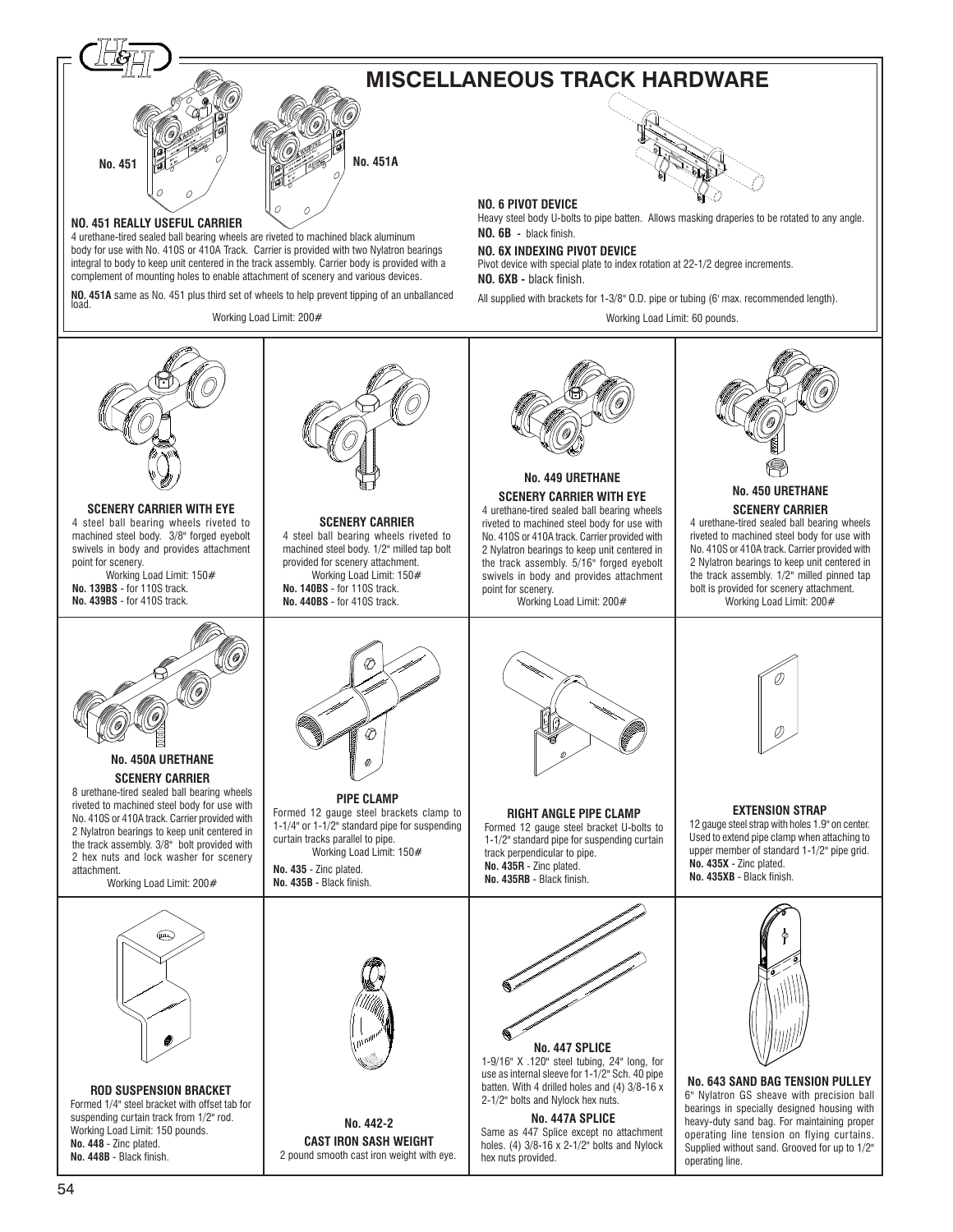